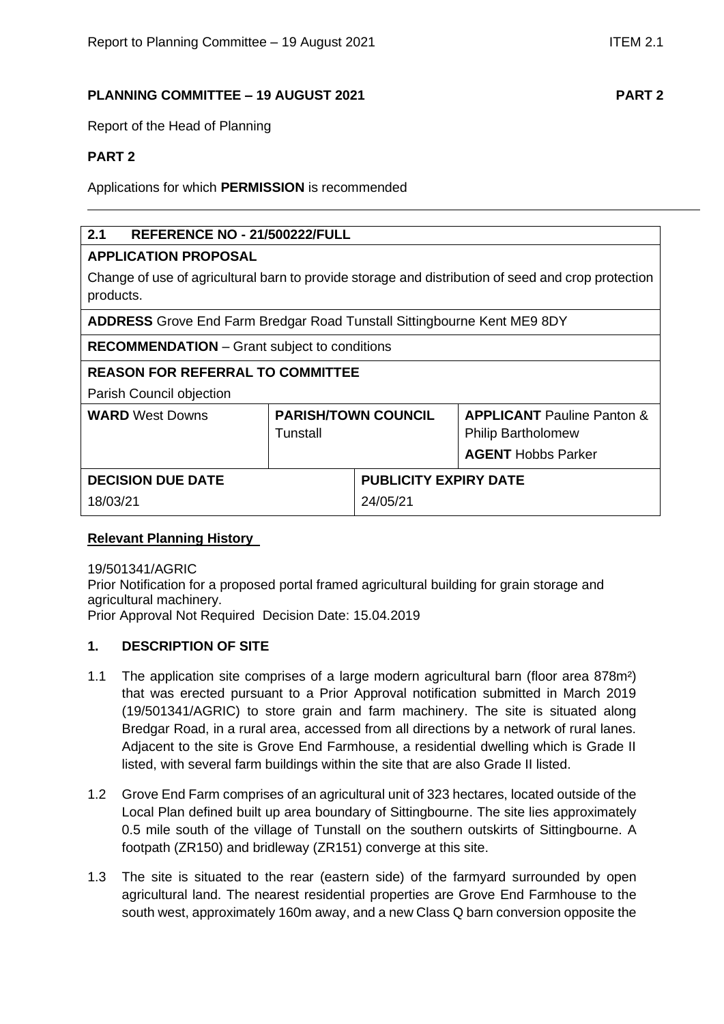# **PLANNING COMMITTEE – 19 AUGUST 2021 PART 2**

Report of the Head of Planning

# **PART 2**

Applications for which **PERMISSION** is recommended

# **2.1 REFERENCE NO - 21/500222/FULL**

## **APPLICATION PROPOSAL**

Change of use of agricultural barn to provide storage and distribution of seed and crop protection products.

**ADDRESS** Grove End Farm Bredgar Road Tunstall Sittingbourne Kent ME9 8DY

**RECOMMENDATION** – Grant subject to conditions

# **REASON FOR REFERRAL TO COMMITTEE**

Parish Council objection

| <b>WARD</b> West Downs   | <b>PARISH/TOWN COUNCIL</b><br>Tunstall |                              | <b>APPLICANT</b> Pauline Panton &<br><b>Philip Bartholomew</b><br><b>AGENT</b> Hobbs Parker |  |
|--------------------------|----------------------------------------|------------------------------|---------------------------------------------------------------------------------------------|--|
| <b>DECISION DUE DATE</b> |                                        | <b>PUBLICITY EXPIRY DATE</b> |                                                                                             |  |
| 18/03/21                 |                                        | 24/05/21                     |                                                                                             |  |

# **Relevant Planning History**

19/501341/AGRIC

Prior Notification for a proposed portal framed agricultural building for grain storage and agricultural machinery.

Prior Approval Not Required Decision Date: 15.04.2019

## **1. DESCRIPTION OF SITE**

- 1.1 The application site comprises of a large modern agricultural barn (floor area 878m²) that was erected pursuant to a Prior Approval notification submitted in March 2019 (19/501341/AGRIC) to store grain and farm machinery. The site is situated along Bredgar Road, in a rural area, accessed from all directions by a network of rural lanes. Adjacent to the site is Grove End Farmhouse, a residential dwelling which is Grade II listed, with several farm buildings within the site that are also Grade II listed.
- 1.2 Grove End Farm comprises of an agricultural unit of 323 hectares, located outside of the Local Plan defined built up area boundary of Sittingbourne. The site lies approximately 0.5 mile south of the village of Tunstall on the southern outskirts of Sittingbourne. A footpath (ZR150) and bridleway (ZR151) converge at this site.
- 1.3 The site is situated to the rear (eastern side) of the farmyard surrounded by open agricultural land. The nearest residential properties are Grove End Farmhouse to the south west, approximately 160m away, and a new Class Q barn conversion opposite the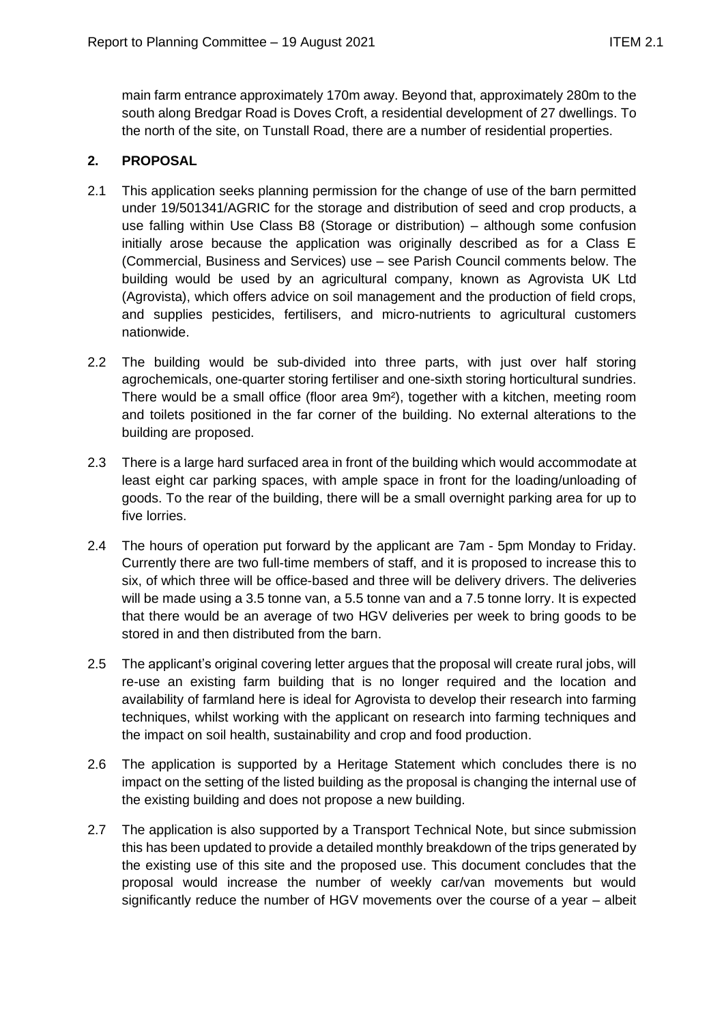main farm entrance approximately 170m away. Beyond that, approximately 280m to the south along Bredgar Road is Doves Croft, a residential development of 27 dwellings. To the north of the site, on Tunstall Road, there are a number of residential properties.

# **2. PROPOSAL**

- 2.1 This application seeks planning permission for the change of use of the barn permitted under 19/501341/AGRIC for the storage and distribution of seed and crop products, a use falling within Use Class B8 (Storage or distribution) – although some confusion initially arose because the application was originally described as for a Class E (Commercial, Business and Services) use – see Parish Council comments below. The building would be used by an agricultural company, known as Agrovista UK Ltd (Agrovista), which offers advice on soil management and the production of field crops, and supplies pesticides, fertilisers, and micro-nutrients to agricultural customers nationwide.
- 2.2 The building would be sub-divided into three parts, with just over half storing agrochemicals, one-quarter storing fertiliser and one-sixth storing horticultural sundries. There would be a small office (floor area 9m²), together with a kitchen, meeting room and toilets positioned in the far corner of the building. No external alterations to the building are proposed.
- 2.3 There is a large hard surfaced area in front of the building which would accommodate at least eight car parking spaces, with ample space in front for the loading/unloading of goods. To the rear of the building, there will be a small overnight parking area for up to five lorries.
- 2.4 The hours of operation put forward by the applicant are 7am 5pm Monday to Friday. Currently there are two full-time members of staff, and it is proposed to increase this to six, of which three will be office-based and three will be delivery drivers. The deliveries will be made using a 3.5 tonne van, a 5.5 tonne van and a 7.5 tonne lorry. It is expected that there would be an average of two HGV deliveries per week to bring goods to be stored in and then distributed from the barn.
- 2.5 The applicant's original covering letter argues that the proposal will create rural jobs, will re-use an existing farm building that is no longer required and the location and availability of farmland here is ideal for Agrovista to develop their research into farming techniques, whilst working with the applicant on research into farming techniques and the impact on soil health, sustainability and crop and food production.
- 2.6 The application is supported by a Heritage Statement which concludes there is no impact on the setting of the listed building as the proposal is changing the internal use of the existing building and does not propose a new building.
- 2.7 The application is also supported by a Transport Technical Note, but since submission this has been updated to provide a detailed monthly breakdown of the trips generated by the existing use of this site and the proposed use. This document concludes that the proposal would increase the number of weekly car/van movements but would significantly reduce the number of HGV movements over the course of a year – albeit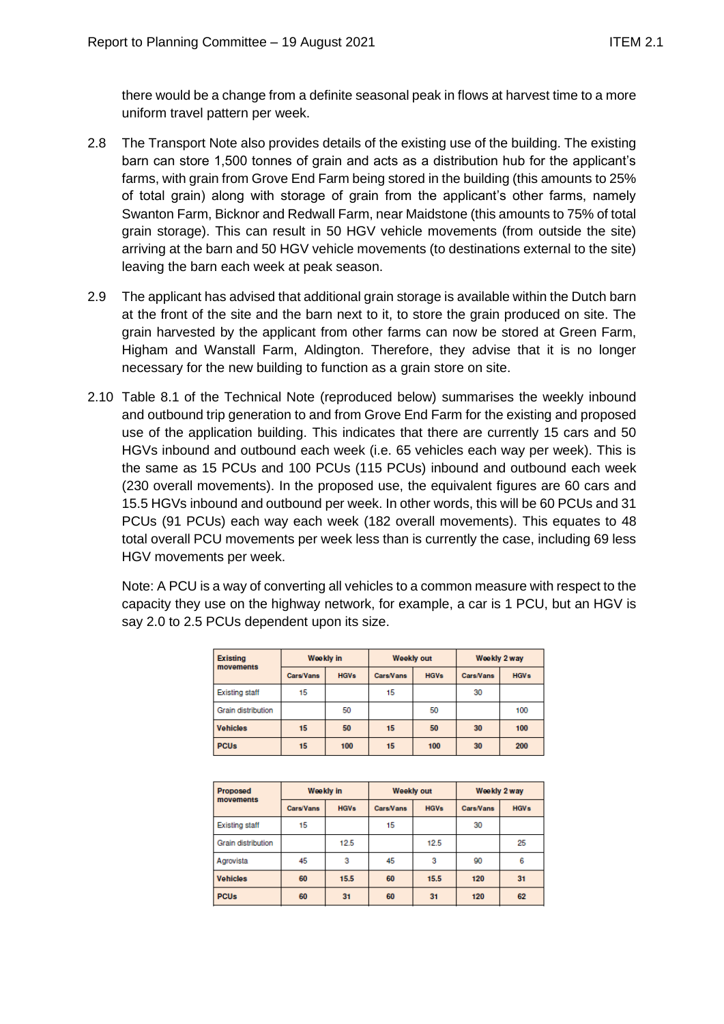there would be a change from a definite seasonal peak in flows at harvest time to a more uniform travel pattern per week.

- 2.8 The Transport Note also provides details of the existing use of the building. The existing barn can store 1,500 tonnes of grain and acts as a distribution hub for the applicant's farms, with grain from Grove End Farm being stored in the building (this amounts to 25% of total grain) along with storage of grain from the applicant's other farms, namely Swanton Farm, Bicknor and Redwall Farm, near Maidstone (this amounts to 75% of total grain storage). This can result in 50 HGV vehicle movements (from outside the site) arriving at the barn and 50 HGV vehicle movements (to destinations external to the site) leaving the barn each week at peak season.
- 2.9 The applicant has advised that additional grain storage is available within the Dutch barn at the front of the site and the barn next to it, to store the grain produced on site. The grain harvested by the applicant from other farms can now be stored at Green Farm, Higham and Wanstall Farm, Aldington. Therefore, they advise that it is no longer necessary for the new building to function as a grain store on site.
- 2.10 Table 8.1 of the Technical Note (reproduced below) summarises the weekly inbound and outbound trip generation to and from Grove End Farm for the existing and proposed use of the application building. This indicates that there are currently 15 cars and 50 HGVs inbound and outbound each week (i.e. 65 vehicles each way per week). This is the same as 15 PCUs and 100 PCUs (115 PCUs) inbound and outbound each week (230 overall movements). In the proposed use, the equivalent figures are 60 cars and 15.5 HGVs inbound and outbound per week. In other words, this will be 60 PCUs and 31 PCUs (91 PCUs) each way each week (182 overall movements). This equates to 48 total overall PCU movements per week less than is currently the case, including 69 less HGV movements per week.

Note: A PCU is a way of converting all vehicles to a common measure with respect to the capacity they use on the highway network, for example, a car is 1 PCU, but an HGV is say 2.0 to 2.5 PCUs dependent upon its size.

| <b>Existing</b><br>movements | Weekly in        |             | <b>Weekly out</b> |             | Weekly 2 way |             |
|------------------------------|------------------|-------------|-------------------|-------------|--------------|-------------|
|                              | <b>Cars/Vans</b> | <b>HGVs</b> | <b>Cars/Vans</b>  | <b>HGVs</b> | Cars/Vans    | <b>HGVs</b> |
| <b>Existing staff</b>        | 15               |             | 15                |             | 30           |             |
| Grain distribution           |                  | 50          |                   | 50          |              | 100         |
| <b>Vehicles</b>              | 15               | 50          | 15                | 50          | 30           | 100         |
| <b>PCUs</b>                  | 15               | 100         | 15                | 100         | 30           | 200         |

| <b>Proposed</b><br>movements | Weekly in |             | <b>Weekly out</b> |             | Weekly 2 way |             |
|------------------------------|-----------|-------------|-------------------|-------------|--------------|-------------|
|                              | Cars/Vans | <b>HGVs</b> | Cars/Vans         | <b>HGVs</b> | Cars/Vans    | <b>HGVs</b> |
| <b>Existing staff</b>        | 15        |             | 15                |             | 30           |             |
| Grain distribution           |           | 12.5        |                   | 12.5        |              | 25          |
| Agrovista                    | 45        | 3           | 45                | 3           | 90           | 6           |
| <b>Vehicles</b>              | 60        | 15.5        | 60                | 15.5        | 120          | 31          |
| <b>PCUs</b>                  | 60        | 31          | 60                | 31          | 120          | 62          |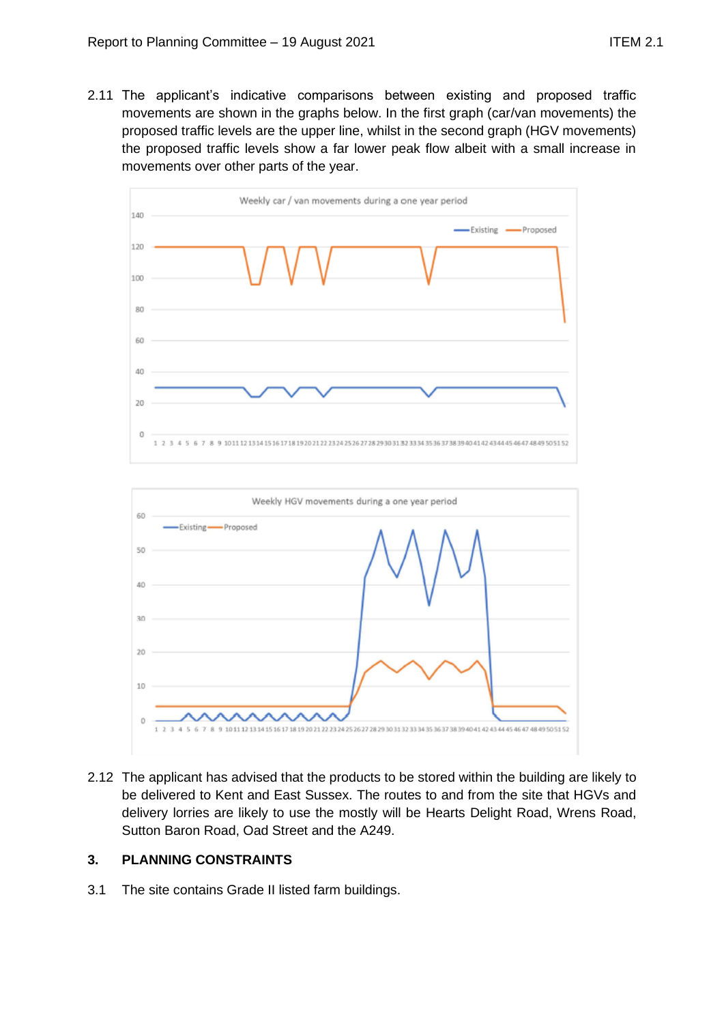2.11 The applicant's indicative comparisons between existing and proposed traffic movements are shown in the graphs below. In the first graph (car/van movements) the proposed traffic levels are the upper line, whilst in the second graph (HGV movements) the proposed traffic levels show a far lower peak flow albeit with a small increase in movements over other parts of the year.





2.12 The applicant has advised that the products to be stored within the building are likely to be delivered to Kent and East Sussex. The routes to and from the site that HGVs and delivery lorries are likely to use the mostly will be Hearts Delight Road, Wrens Road, Sutton Baron Road, Oad Street and the A249.

# **3. PLANNING CONSTRAINTS**

3.1 The site contains Grade II listed farm buildings.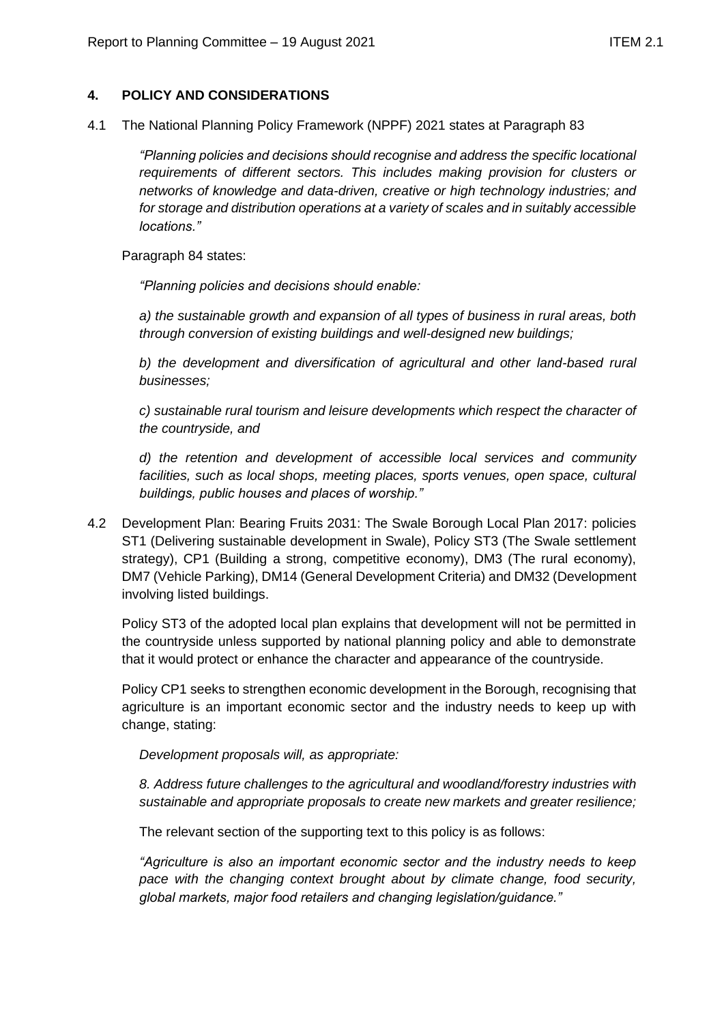## **4. POLICY AND CONSIDERATIONS**

4.1 The National Planning Policy Framework (NPPF) 2021 states at Paragraph 83

*"Planning policies and decisions should recognise and address the specific locational requirements of different sectors. This includes making provision for clusters or networks of knowledge and data-driven, creative or high technology industries; and for storage and distribution operations at a variety of scales and in suitably accessible locations."*

Paragraph 84 states:

*"Planning policies and decisions should enable:*

*a) the sustainable growth and expansion of all types of business in rural areas, both through conversion of existing buildings and well-designed new buildings;*

*b) the development and diversification of agricultural and other land-based rural businesses;*

*c) sustainable rural tourism and leisure developments which respect the character of the countryside, and*

*d) the retention and development of accessible local services and community facilities, such as local shops, meeting places, sports venues, open space, cultural buildings, public houses and places of worship."*

4.2 Development Plan: Bearing Fruits 2031: The Swale Borough Local Plan 2017: policies ST1 (Delivering sustainable development in Swale), Policy ST3 (The Swale settlement strategy), CP1 (Building a strong, competitive economy), DM3 (The rural economy), DM7 (Vehicle Parking), DM14 (General Development Criteria) and DM32 (Development involving listed buildings.

Policy ST3 of the adopted local plan explains that development will not be permitted in the countryside unless supported by national planning policy and able to demonstrate that it would protect or enhance the character and appearance of the countryside.

Policy CP1 seeks to strengthen economic development in the Borough, recognising that agriculture is an important economic sector and the industry needs to keep up with change, stating:

*Development proposals will, as appropriate:*

*8. Address future challenges to the agricultural and woodland/forestry industries with sustainable and appropriate proposals to create new markets and greater resilience;*

The relevant section of the supporting text to this policy is as follows:

*"Agriculture is also an important economic sector and the industry needs to keep pace with the changing context brought about by climate change, food security, global markets, major food retailers and changing legislation/guidance."*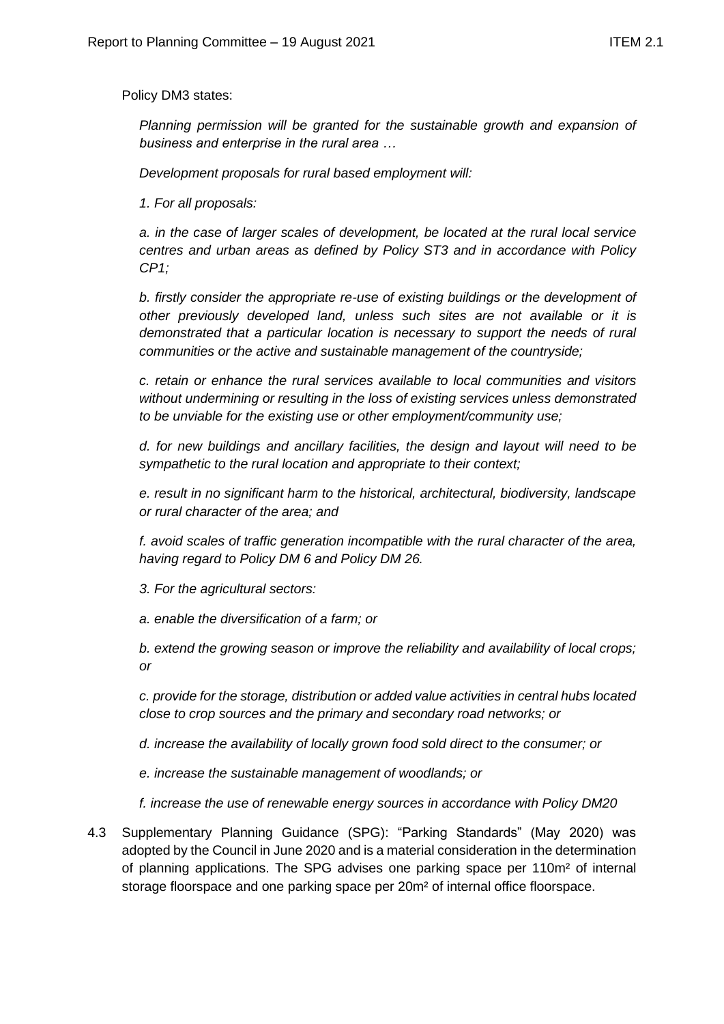Policy DM3 states:

*Planning permission will be granted for the sustainable growth and expansion of business and enterprise in the rural area …*

*Development proposals for rural based employment will:*

*1. For all proposals:*

*a. in the case of larger scales of development, be located at the rural local service centres and urban areas as defined by Policy ST3 and in accordance with Policy CP1;*

*b. firstly consider the appropriate re-use of existing buildings or the development of other previously developed land, unless such sites are not available or it is demonstrated that a particular location is necessary to support the needs of rural communities or the active and sustainable management of the countryside;*

*c. retain or enhance the rural services available to local communities and visitors without undermining or resulting in the loss of existing services unless demonstrated to be unviable for the existing use or other employment/community use;*

*d. for new buildings and ancillary facilities, the design and layout will need to be sympathetic to the rural location and appropriate to their context;*

*e. result in no significant harm to the historical, architectural, biodiversity, landscape or rural character of the area; and*

*f. avoid scales of traffic generation incompatible with the rural character of the area, having regard to Policy DM 6 and Policy DM 26.* 

*3. For the agricultural sectors:*

*a. enable the diversification of a farm; or*

*b. extend the growing season or improve the reliability and availability of local crops; or*

*c. provide for the storage, distribution or added value activities in central hubs located close to crop sources and the primary and secondary road networks; or* 

*d. increase the availability of locally grown food sold direct to the consumer; or*

*e. increase the sustainable management of woodlands; or*

*f. increase the use of renewable energy sources in accordance with Policy DM20*

4.3 Supplementary Planning Guidance (SPG): "Parking Standards" (May 2020) was adopted by the Council in June 2020 and is a material consideration in the determination of planning applications. The SPG advises one parking space per 110m² of internal storage floorspace and one parking space per 20m² of internal office floorspace.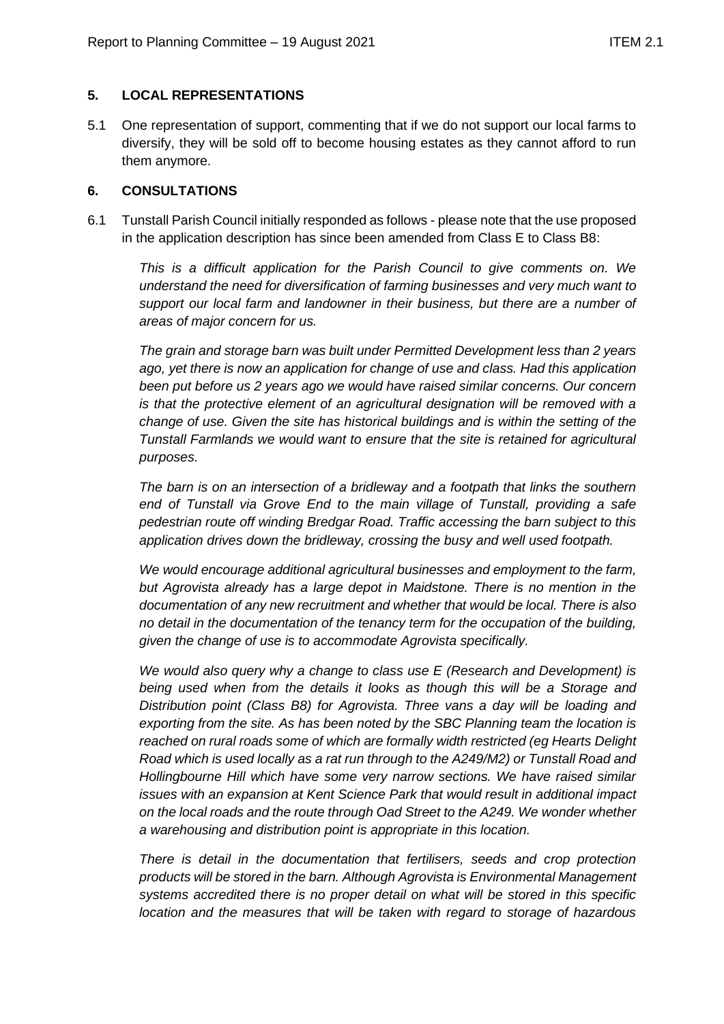#### **5. LOCAL REPRESENTATIONS**

5.1 One representation of support, commenting that if we do not support our local farms to diversify, they will be sold off to become housing estates as they cannot afford to run them anymore.

#### **6. CONSULTATIONS**

6.1 Tunstall Parish Council initially responded as follows - please note that the use proposed in the application description has since been amended from Class E to Class B8:

*This is a difficult application for the Parish Council to give comments on. We understand the need for diversification of farming businesses and very much want to support our local farm and landowner in their business, but there are a number of areas of major concern for us.*

*The grain and storage barn was built under Permitted Development less than 2 years ago, yet there is now an application for change of use and class. Had this application been put before us 2 years ago we would have raised similar concerns. Our concern is that the protective element of an agricultural designation will be removed with a change of use. Given the site has historical buildings and is within the setting of the Tunstall Farmlands we would want to ensure that the site is retained for agricultural purposes.*

*The barn is on an intersection of a bridleway and a footpath that links the southern end of Tunstall via Grove End to the main village of Tunstall, providing a safe pedestrian route off winding Bredgar Road. Traffic accessing the barn subject to this application drives down the bridleway, crossing the busy and well used footpath.*

*We would encourage additional agricultural businesses and employment to the farm, but Agrovista already has a large depot in Maidstone. There is no mention in the documentation of any new recruitment and whether that would be local. There is also no detail in the documentation of the tenancy term for the occupation of the building, given the change of use is to accommodate Agrovista specifically.*

*We would also query why a change to class use E (Research and Development) is being used when from the details it looks as though this will be a Storage and Distribution point (Class B8) for Agrovista. Three vans a day will be loading and exporting from the site. As has been noted by the SBC Planning team the location is reached on rural roads some of which are formally width restricted (eg Hearts Delight Road which is used locally as a rat run through to the A249/M2) or Tunstall Road and Hollingbourne Hill which have some very narrow sections. We have raised similar issues with an expansion at Kent Science Park that would result in additional impact on the local roads and the route through Oad Street to the A249. We wonder whether a warehousing and distribution point is appropriate in this location.*

*There is detail in the documentation that fertilisers, seeds and crop protection products will be stored in the barn. Although Agrovista is Environmental Management systems accredited there is no proper detail on what will be stored in this specific location and the measures that will be taken with regard to storage of hazardous*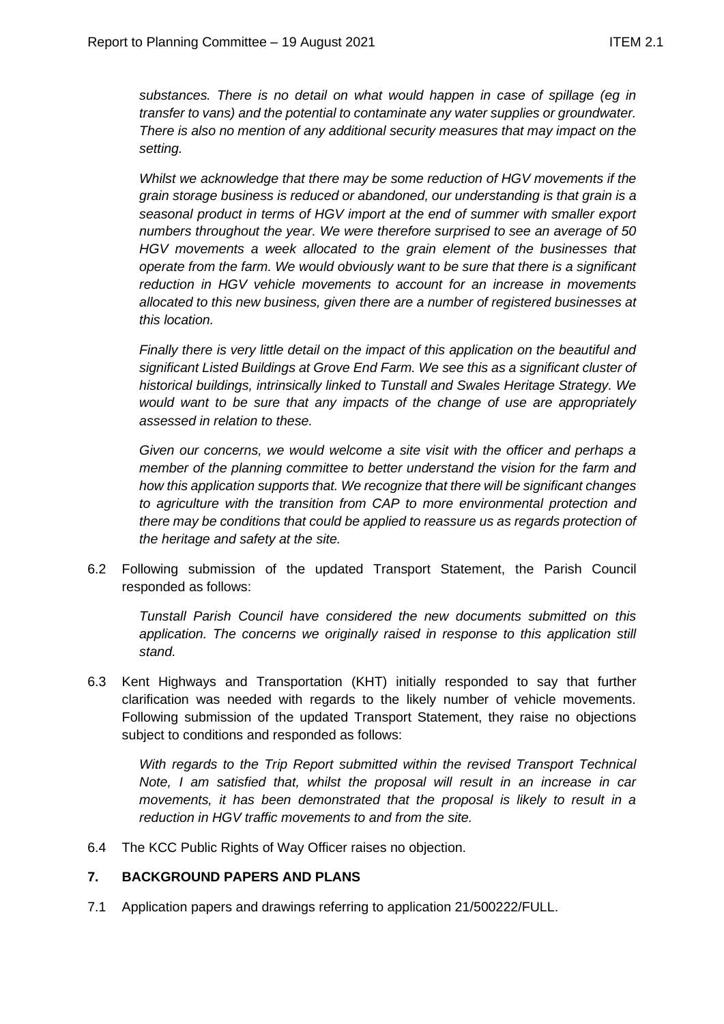*substances. There is no detail on what would happen in case of spillage (eg in transfer to vans) and the potential to contaminate any water supplies or groundwater. There is also no mention of any additional security measures that may impact on the setting.*

*Whilst we acknowledge that there may be some reduction of HGV movements if the grain storage business is reduced or abandoned, our understanding is that grain is a seasonal product in terms of HGV import at the end of summer with smaller export numbers throughout the year. We were therefore surprised to see an average of 50 HGV movements a week allocated to the grain element of the businesses that operate from the farm. We would obviously want to be sure that there is a significant reduction in HGV vehicle movements to account for an increase in movements allocated to this new business, given there are a number of registered businesses at this location.*

*Finally there is very little detail on the impact of this application on the beautiful and significant Listed Buildings at Grove End Farm. We see this as a significant cluster of historical buildings, intrinsically linked to Tunstall and Swales Heritage Strategy. We would want to be sure that any impacts of the change of use are appropriately assessed in relation to these.*

*Given our concerns, we would welcome a site visit with the officer and perhaps a member of the planning committee to better understand the vision for the farm and how this application supports that. We recognize that there will be significant changes to agriculture with the transition from CAP to more environmental protection and there may be conditions that could be applied to reassure us as regards protection of the heritage and safety at the site.*

6.2 Following submission of the updated Transport Statement, the Parish Council responded as follows:

*Tunstall Parish Council have considered the new documents submitted on this*  application. The concerns we originally raised in response to this application still *stand.*

6.3 Kent Highways and Transportation (KHT) initially responded to say that further clarification was needed with regards to the likely number of vehicle movements. Following submission of the updated Transport Statement, they raise no objections subject to conditions and responded as follows:

*With regards to the Trip Report submitted within the revised Transport Technical Note, I am satisfied that, whilst the proposal will result in an increase in car movements, it has been demonstrated that the proposal is likely to result in a reduction in HGV traffic movements to and from the site.*

6.4 The KCC Public Rights of Way Officer raises no objection.

## **7. BACKGROUND PAPERS AND PLANS**

7.1 Application papers and drawings referring to application 21/500222/FULL.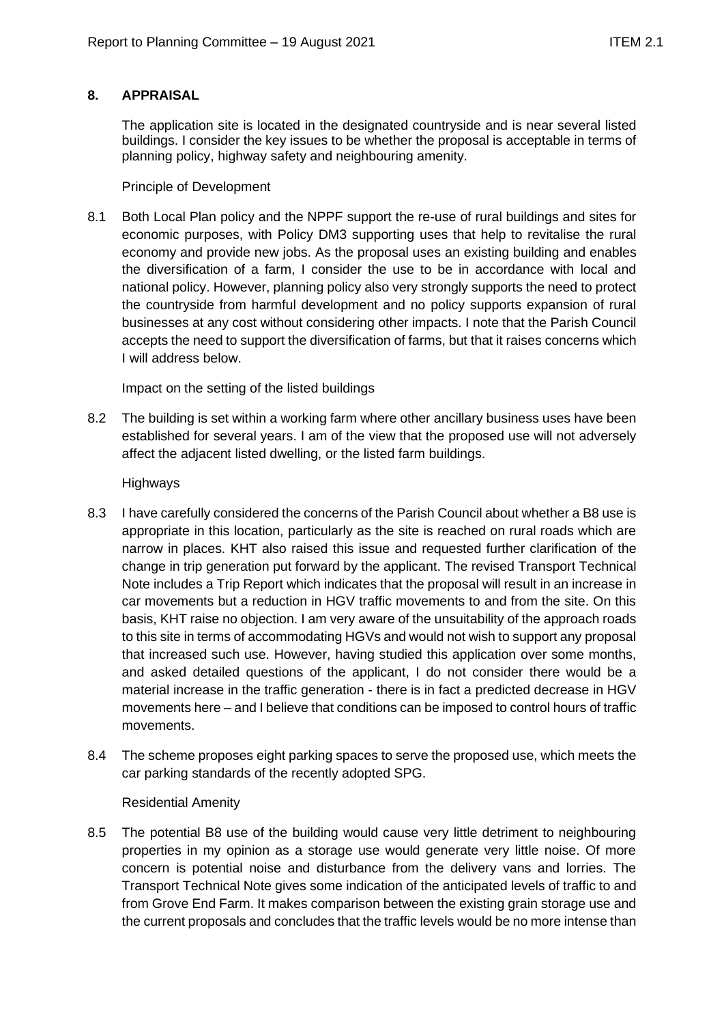# **8. APPRAISAL**

The application site is located in the designated countryside and is near several listed buildings. I consider the key issues to be whether the proposal is acceptable in terms of planning policy, highway safety and neighbouring amenity.

## Principle of Development

8.1 Both Local Plan policy and the NPPF support the re-use of rural buildings and sites for economic purposes, with Policy DM3 supporting uses that help to revitalise the rural economy and provide new jobs. As the proposal uses an existing building and enables the diversification of a farm, I consider the use to be in accordance with local and national policy. However, planning policy also very strongly supports the need to protect the countryside from harmful development and no policy supports expansion of rural businesses at any cost without considering other impacts. I note that the Parish Council accepts the need to support the diversification of farms, but that it raises concerns which I will address below.

Impact on the setting of the listed buildings

8.2 The building is set within a working farm where other ancillary business uses have been established for several years. I am of the view that the proposed use will not adversely affect the adjacent listed dwelling, or the listed farm buildings.

Highways

- 8.3 I have carefully considered the concerns of the Parish Council about whether a B8 use is appropriate in this location, particularly as the site is reached on rural roads which are narrow in places. KHT also raised this issue and requested further clarification of the change in trip generation put forward by the applicant. The revised Transport Technical Note includes a Trip Report which indicates that the proposal will result in an increase in car movements but a reduction in HGV traffic movements to and from the site. On this basis, KHT raise no objection. I am very aware of the unsuitability of the approach roads to this site in terms of accommodating HGVs and would not wish to support any proposal that increased such use. However, having studied this application over some months, and asked detailed questions of the applicant, I do not consider there would be a material increase in the traffic generation - there is in fact a predicted decrease in HGV movements here – and I believe that conditions can be imposed to control hours of traffic movements.
- 8.4 The scheme proposes eight parking spaces to serve the proposed use, which meets the car parking standards of the recently adopted SPG.

## Residential Amenity

8.5 The potential B8 use of the building would cause very little detriment to neighbouring properties in my opinion as a storage use would generate very little noise. Of more concern is potential noise and disturbance from the delivery vans and lorries. The Transport Technical Note gives some indication of the anticipated levels of traffic to and from Grove End Farm. It makes comparison between the existing grain storage use and the current proposals and concludes that the traffic levels would be no more intense than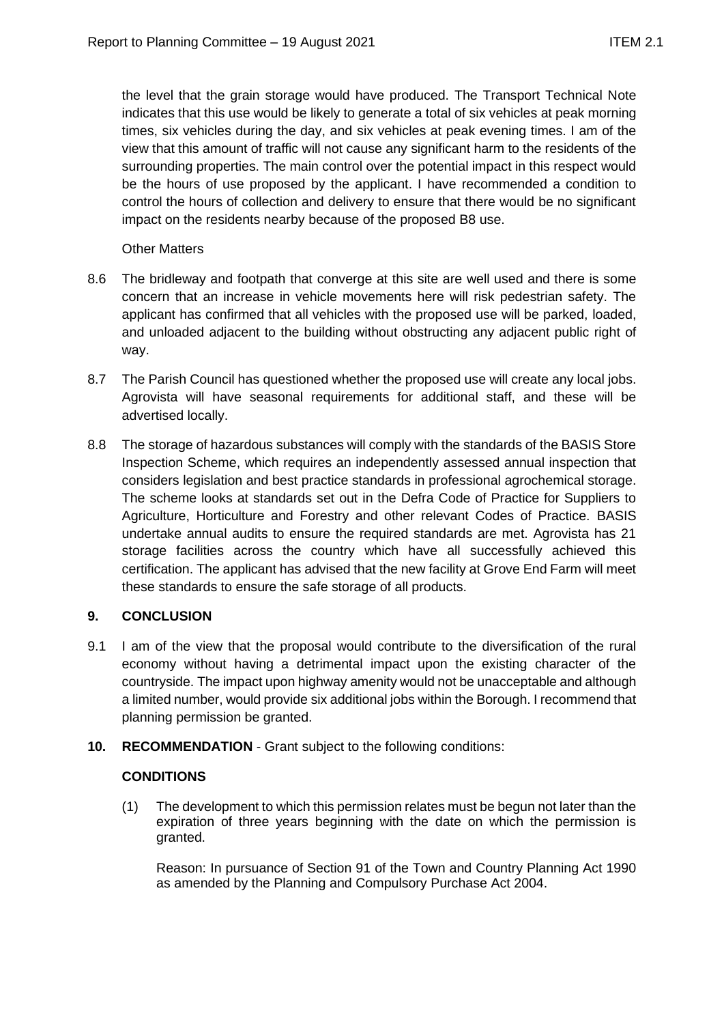the level that the grain storage would have produced. The Transport Technical Note indicates that this use would be likely to generate a total of six vehicles at peak morning times, six vehicles during the day, and six vehicles at peak evening times. I am of the view that this amount of traffic will not cause any significant harm to the residents of the surrounding properties. The main control over the potential impact in this respect would be the hours of use proposed by the applicant. I have recommended a condition to control the hours of collection and delivery to ensure that there would be no significant impact on the residents nearby because of the proposed B8 use.

Other Matters

- 8.6 The bridleway and footpath that converge at this site are well used and there is some concern that an increase in vehicle movements here will risk pedestrian safety. The applicant has confirmed that all vehicles with the proposed use will be parked, loaded, and unloaded adjacent to the building without obstructing any adjacent public right of way.
- 8.7 The Parish Council has questioned whether the proposed use will create any local jobs. Agrovista will have seasonal requirements for additional staff, and these will be advertised locally.
- 8.8 The storage of hazardous substances will comply with the standards of the BASIS Store Inspection Scheme, which requires an independently assessed annual inspection that considers legislation and best practice standards in professional agrochemical storage. The scheme looks at standards set out in the Defra Code of Practice for Suppliers to Agriculture, Horticulture and Forestry and other relevant Codes of Practice. BASIS undertake annual audits to ensure the required standards are met. Agrovista has 21 storage facilities across the country which have all successfully achieved this certification. The applicant has advised that the new facility at Grove End Farm will meet these standards to ensure the safe storage of all products.

# **9. CONCLUSION**

- 9.1 I am of the view that the proposal would contribute to the diversification of the rural economy without having a detrimental impact upon the existing character of the countryside. The impact upon highway amenity would not be unacceptable and although a limited number, would provide six additional jobs within the Borough. I recommend that planning permission be granted.
- **10. RECOMMENDATION**  Grant subject to the following conditions:

## **CONDITIONS**

(1) The development to which this permission relates must be begun not later than the expiration of three years beginning with the date on which the permission is granted.

Reason: In pursuance of Section 91 of the Town and Country Planning Act 1990 as amended by the Planning and Compulsory Purchase Act 2004.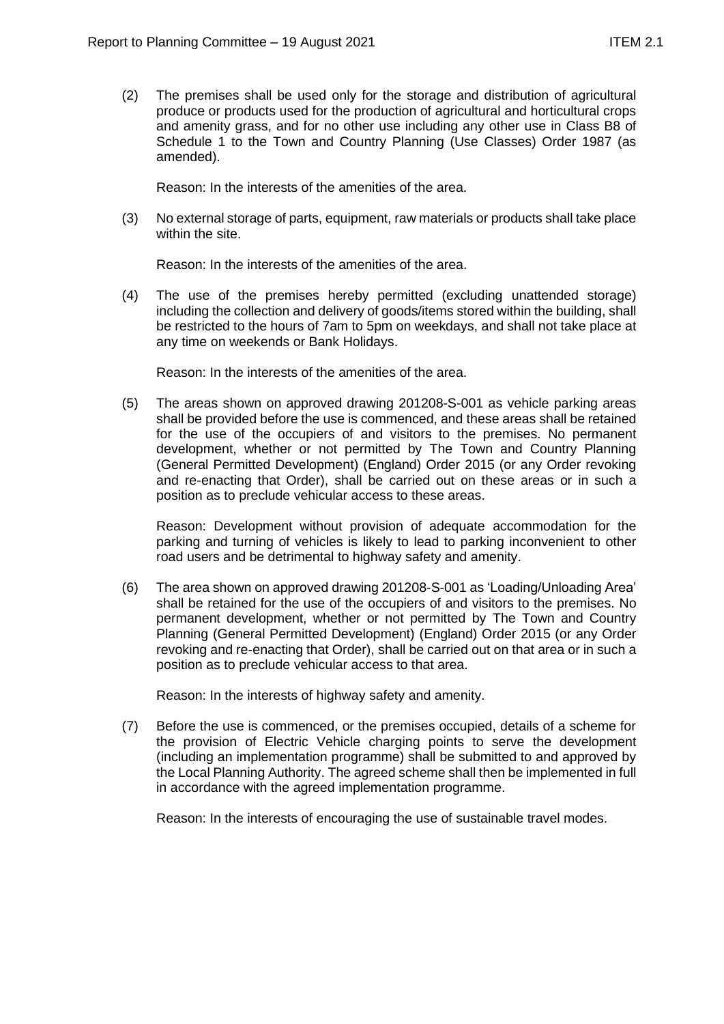(2) The premises shall be used only for the storage and distribution of agricultural produce or products used for the production of agricultural and horticultural crops and amenity grass, and for no other use including any other use in Class B8 of Schedule 1 to the Town and Country Planning (Use Classes) Order 1987 (as amended).

Reason: In the interests of the amenities of the area.

(3) No external storage of parts, equipment, raw materials or products shall take place within the site.

Reason: In the interests of the amenities of the area.

(4) The use of the premises hereby permitted (excluding unattended storage) including the collection and delivery of goods/items stored within the building, shall be restricted to the hours of 7am to 5pm on weekdays, and shall not take place at any time on weekends or Bank Holidays.

Reason: In the interests of the amenities of the area.

(5) The areas shown on approved drawing 201208-S-001 as vehicle parking areas shall be provided before the use is commenced, and these areas shall be retained for the use of the occupiers of and visitors to the premises. No permanent development, whether or not permitted by The Town and Country Planning (General Permitted Development) (England) Order 2015 (or any Order revoking and re-enacting that Order), shall be carried out on these areas or in such a position as to preclude vehicular access to these areas.

Reason: Development without provision of adequate accommodation for the parking and turning of vehicles is likely to lead to parking inconvenient to other road users and be detrimental to highway safety and amenity.

(6) The area shown on approved drawing 201208-S-001 as 'Loading/Unloading Area' shall be retained for the use of the occupiers of and visitors to the premises. No permanent development, whether or not permitted by The Town and Country Planning (General Permitted Development) (England) Order 2015 (or any Order revoking and re-enacting that Order), shall be carried out on that area or in such a position as to preclude vehicular access to that area.

Reason: In the interests of highway safety and amenity.

(7) Before the use is commenced, or the premises occupied, details of a scheme for the provision of Electric Vehicle charging points to serve the development (including an implementation programme) shall be submitted to and approved by the Local Planning Authority. The agreed scheme shall then be implemented in full in accordance with the agreed implementation programme.

Reason: In the interests of encouraging the use of sustainable travel modes.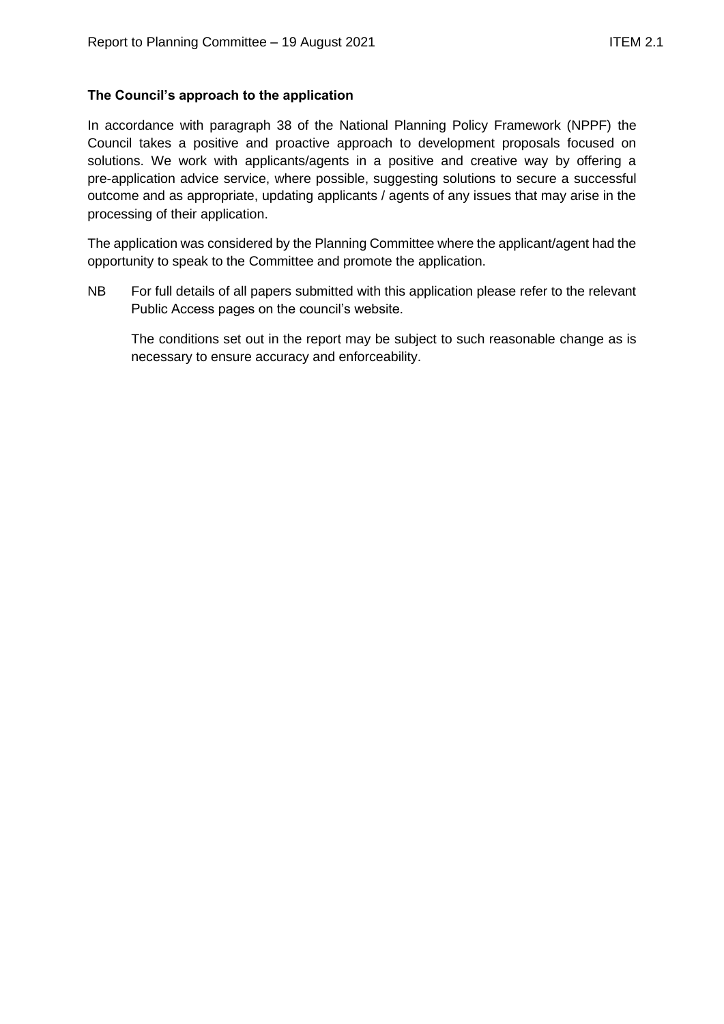# **The Council's approach to the application**

In accordance with paragraph 38 of the National Planning Policy Framework (NPPF) the Council takes a positive and proactive approach to development proposals focused on solutions. We work with applicants/agents in a positive and creative way by offering a pre-application advice service, where possible, suggesting solutions to secure a successful outcome and as appropriate, updating applicants / agents of any issues that may arise in the processing of their application.

The application was considered by the Planning Committee where the applicant/agent had the opportunity to speak to the Committee and promote the application.

NB For full details of all papers submitted with this application please refer to the relevant Public Access pages on the council's website.

The conditions set out in the report may be subject to such reasonable change as is necessary to ensure accuracy and enforceability.